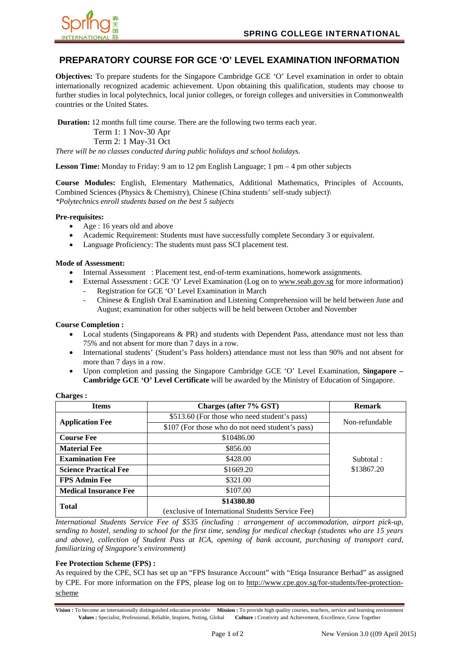

# **PREPARATORY COURSE FOR GCE 'O' LEVEL EXAMINATION INFORMATION**

**Objectives:** To prepare students for the Singapore Cambridge GCE 'O' Level examination in order to obtain internationally recognized academic achievement. Upon obtaining this qualification, students may choose to further studies in local polytechnics, local junior colleges, or foreign colleges and universities in Commonwealth countries or the United States.

**Duration:** 12 months full time course. There are the following two terms each year. Term 1: 1 Nov-30 Apr Term 2: 1 May-31 Oct *There will be no classes conducted during public holidays and school holidays.* 

**Lesson Time:** Monday to Friday: 9 am to 12 pm English Language; 1 pm – 4 pm other subjects

**Course Modules:** English, Elementary Mathematics, Additional Mathematics, Principles of Accounts, Combined Sciences (Physics & Chemistry), Chinese (China students' self-study subject)\ *\*Polytechnics enroll students based on the best 5 subjects* 

### **Pre-requisites:**

- Age : 16 years old and above
- Academic Requirement: Students must have successfully complete Secondary 3 or equivalent.
- Language Proficiency: The students must pass SCI placement test.

#### **Mode of Assessment:**

- Internal Assessment : Placement test, end-of-term examinations, homework assignments.
	- External Assessment : GCE 'O' Level Examination (Log on to www.seab.gov.sg for more information) Registration for GCE 'O' Level Examination in March
	- Chinese & English Oral Examination and Listening Comprehension will be held between June and August; examination for other subjects will be held between October and November

#### **Course Completion :**

- Local students (Singaporeans & PR) and students with Dependent Pass, attendance must not less than 75% and not absent for more than 7 days in a row.
- International students' (Student's Pass holders) attendance must not less than 90% and not absent for more than 7 days in a row.
- Upon completion and passing the Singapore Cambridge GCE 'O' Level Examination, **Singapore Cambridge GCE 'O' Level Certificate** will be awarded by the Ministry of Education of Singapore.

| <b>Items</b>                 | Charges (after 7% GST)                            | <b>Remark</b>  |
|------------------------------|---------------------------------------------------|----------------|
| <b>Application Fee</b>       | \$513.60 (For those who need student's pass)      | Non-refundable |
|                              | \$107 (For those who do not need student's pass)  |                |
| <b>Course Fee</b>            | \$10486.00                                        |                |
| <b>Material Fee</b>          | \$856.00                                          |                |
| <b>Examination Fee</b>       | \$428.00                                          | Subtotal:      |
| <b>Science Practical Fee</b> | \$1669.20                                         | \$13867.20     |
| <b>FPS Admin Fee</b>         | \$321.00                                          |                |
| <b>Medical Insurance Fee</b> | \$107.00                                          |                |
| <b>Total</b>                 | \$14380.80                                        |                |
|                              | (exclusive of International Students Service Fee) |                |

**Charges :** 

*International Students Service Fee of \$535 (including : arrangement of accommodation, airport pick-up, sending to hostel, sending to school for the first time, sending for medical checkup (students who are 15 years and above), collection of Student Pass at ICA, opening of bank account, purchasing of transport card, familiarizing of Singapore's environment)* 

# **Fee Protection Scheme (FPS) :**

As required by the CPE, SCI has set up an "FPS Insurance Account" with "Etiqa Insurance Berhad" as assigned by CPE. For more information on the FPS, please log on to http://www.cpe.gov.sg/for-students/fee-protectionscheme

**Vision :** To become an internationally distinguished education provider **Mission :** To provide high quality courses, teachers, service and learning environment **Values :** Specialist, Professional, Reliable, Inspires, Noting, Global **Culture :** Creativity and Achievement, Excellence, Grow Together